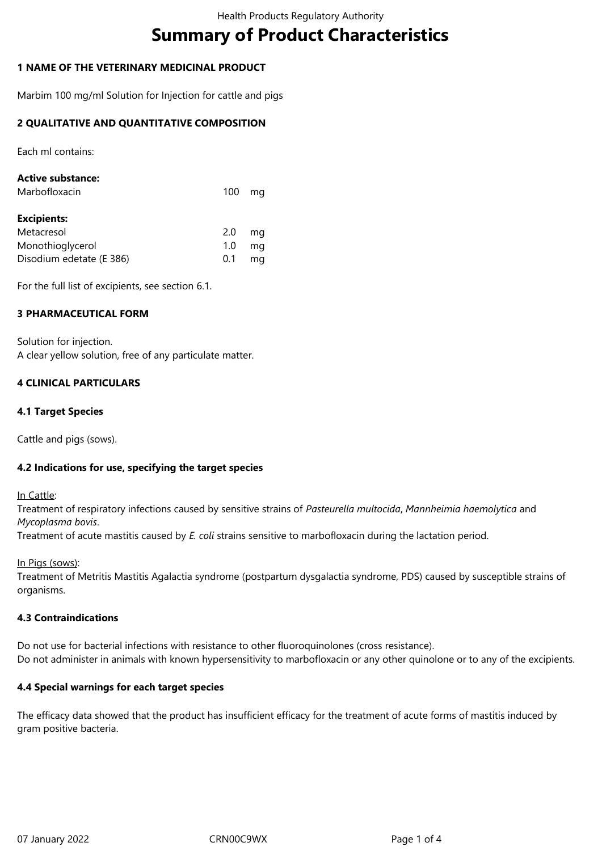# **Summary of Product Characteristics**

## **1 NAME OF THE VETERINARY MEDICINAL PRODUCT**

Marbim 100 mg/ml Solution for Injection for cattle and pigs

## **2 QUALITATIVE AND QUANTITATIVE COMPOSITION**

Each ml contains:

| <b>Active substance:</b> |     |    |
|--------------------------|-----|----|
| Marbofloxacin            | 100 | ma |
|                          |     |    |
| <b>Excipients:</b>       |     |    |
| Metacresol               | 2.0 | ma |
| Monothioglycerol         | 1.0 | ma |
| Disodium edetate (E 386) | 0.1 | ma |

For the full list of excipients, see section 6.1.

## **3 PHARMACEUTICAL FORM**

Solution for injection. A clear yellow solution, free of any particulate matter.

## **4 CLINICAL PARTICULARS**

#### **4.1 Target Species**

Cattle and pigs (sows).

#### **4.2 Indications for use, specifying the target species**

In Cattle:

Treatment of respiratory infections caused by sensitive strains of *Pasteurella multocida*, *Mannheimia haemolytica* and *Mycoplasma bovis*.

Treatment of acute mastitis caused by *E. coli* strains sensitive to marbofloxacin during the lactation period.

In Pigs (sows):

Treatment of Metritis Mastitis Agalactia syndrome (postpartum dysgalactia syndrome, PDS) caused by susceptible strains of organisms.

#### **4.3 Contraindications**

Do not use for bacterial infections with resistance to other fluoroquinolones (cross resistance). Do not administer in animals with known hypersensitivity to marbofloxacin or any other quinolone or to any of the excipients.

#### **4.4 Special warnings for each target species**

The efficacy data showed that the product has insufficient efficacy for the treatment of acute forms of mastitis induced by gram positive bacteria.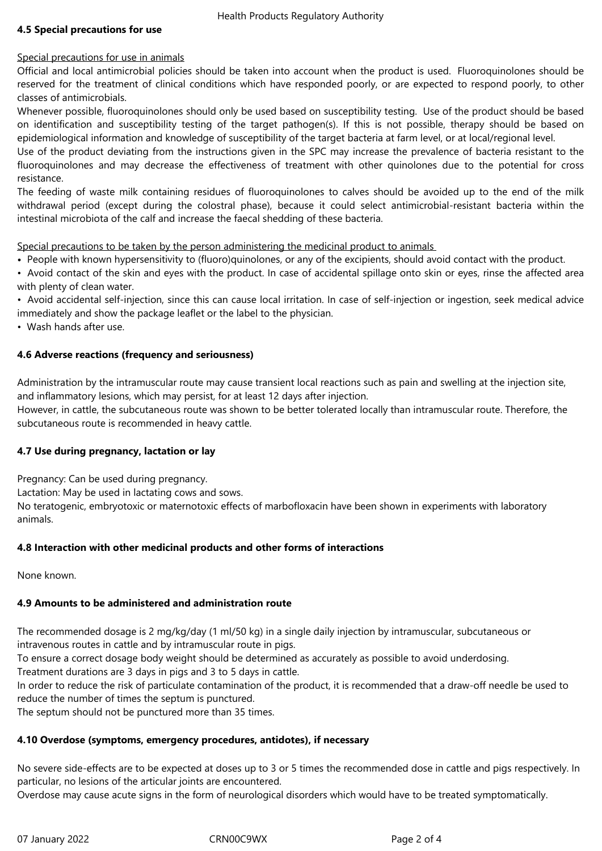## **4.5 Special precautions for use**

## Special precautions for use in animals

Official and local antimicrobial policies should be taken into account when the product is used. Fluoroquinolones should be reserved for the treatment of clinical conditions which have responded poorly, or are expected to respond poorly, to other classes of antimicrobials.

Whenever possible, fluoroquinolones should only be used based on susceptibility testing. Use of the product should be based on identification and susceptibility testing of the target pathogen(s). If this is not possible, therapy should be based on epidemiological information and knowledge of susceptibility of the target bacteria at farm level, or at local/regional level.

Use of the product deviating from the instructions given in the SPC may increase the prevalence of bacteria resistant to the fluoroquinolones and may decrease the effectiveness of treatment with other quinolones due to the potential for cross resistance.

The feeding of waste milk containing residues of fluoroquinolones to calves should be avoided up to the end of the milk withdrawal period (except during the colostral phase), because it could select antimicrobial-resistant bacteria within the intestinal microbiota of the calf and increase the faecal shedding of these bacteria.

Special precautions to be taken by the person administering the medicinal product to animals

- People with known hypersensitivity to (fluoro)quinolones, or any of the excipients, should avoid contact with the product.
- Avoid contact of the skin and eyes with the product. In case of accidental spillage onto skin or eyes, rinse the affected area with plenty of clean water.

• Avoid accidental self-injection, since this can cause local irritation. In case of self-injection or ingestion, seek medical advice immediately and show the package leaflet or the label to the physician.

• Wash hands after use.

## **4.6 Adverse reactions (frequency and seriousness)**

Administration by the intramuscular route may cause transient local reactions such as pain and swelling at the injection site, and inflammatory lesions, which may persist, for at least 12 days after injection.

However, in cattle, the subcutaneous route was shown to be better tolerated locally than intramuscular route. Therefore, the subcutaneous route is recommended in heavy cattle.

## **4.7 Use during pregnancy, lactation or lay**

Pregnancy: Can be used during pregnancy.

Lactation: May be used in lactating cows and sows.

No teratogenic, embryotoxic or maternotoxic effects of marbofloxacin have been shown in experiments with laboratory animals.

## **4.8 Interaction with other medicinal products and other forms of interactions**

None known.

# **4.9 Amounts to be administered and administration route**

The recommended dosage is 2 mg/kg/day (1 ml/50 kg) in a single daily injection by intramuscular, subcutaneous or intravenous routes in cattle and by intramuscular route in pigs.

To ensure a correct dosage body weight should be determined as accurately as possible to avoid underdosing.

Treatment durations are 3 days in pigs and 3 to 5 days in cattle.

In order to reduce the risk of particulate contamination of the product, it is recommended that a draw-off needle be used to reduce the number of times the septum is punctured.

The septum should not be punctured more than 35 times.

# **4.10 Overdose (symptoms, emergency procedures, antidotes), if necessary**

No severe side-effects are to be expected at doses up to 3 or 5 times the recommended dose in cattle and pigs respectively. In particular, no lesions of the articular joints are encountered.

Overdose may cause acute signs in the form of neurological disorders which would have to be treated symptomatically.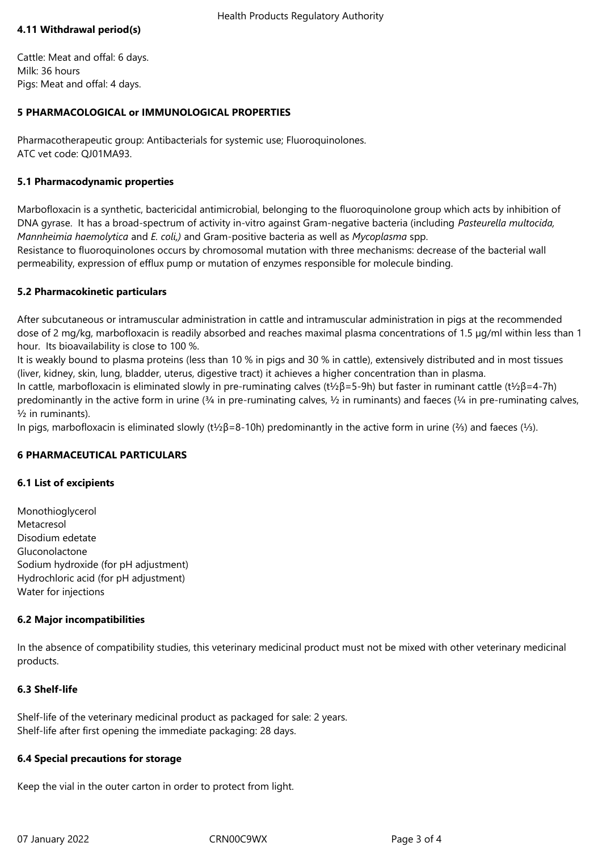## **4.11 Withdrawal period(s)**

Cattle: Meat and offal: 6 days. Milk: 36 hours Pigs: Meat and offal: 4 days.

## **5 PHARMACOLOGICAL or IMMUNOLOGICAL PROPERTIES**

Pharmacotherapeutic group: Antibacterials for systemic use; Fluoroquinolones. ATC vet code: QJ01MA93.

## **5.1 Pharmacodynamic properties**

Marbofloxacin is a synthetic, bactericidal antimicrobial, belonging to the fluoroquinolone group which acts by inhibition of DNA gyrase. It has a broad-spectrum of activity in-vitro against Gram-negative bacteria (including *Pasteurella multocida, Mannheimia haemolytica* and *E. coli,)* and Gram-positive bacteria as well as *Mycoplasma* spp.

Resistance to fluoroquinolones occurs by chromosomal mutation with three mechanisms: decrease of the bacterial wall permeability, expression of efflux pump or mutation of enzymes responsible for molecule binding.

## **5.2 Pharmacokinetic particulars**

After subcutaneous or intramuscular administration in cattle and intramuscular administration in pigs at the recommended dose of 2 mg/kg, marbofloxacin is readily absorbed and reaches maximal plasma concentrations of 1.5 µg/ml within less than 1 hour. Its bioavailability is close to 100 %.

It is weakly bound to plasma proteins (less than 10 % in pigs and 30 % in cattle), extensively distributed and in most tissues (liver, kidney, skin, lung, bladder, uterus, digestive tract) it achieves a higher concentration than in plasma.

In cattle, marbofloxacin is eliminated slowly in pre-ruminating calves (t½β=5-9h) but faster in ruminant cattle (t½β=4-7h) predominantly in the active form in urine  $(3/4)$  in pre-ruminating calves,  $\frac{1}{2}$  in ruminants) and faeces  $(\frac{1}{4})$  in pre-ruminating calves, ½ in ruminants).

In pigs, marbofloxacin is eliminated slowly (t½β=8-10h) predominantly in the active form in urine (⅔) and faeces (⅓).

## **6 PHARMACEUTICAL PARTICULARS**

## **6.1 List of excipients**

Monothioglycerol Metacresol Disodium edetate Gluconolactone Sodium hydroxide (for pH adjustment) Hydrochloric acid (for pH adjustment) Water for injections

#### **6.2 Major incompatibilities**

In the absence of compatibility studies, this veterinary medicinal product must not be mixed with other veterinary medicinal products.

## **6.3 Shelf-life**

Shelf-life of the veterinary medicinal product as packaged for sale: 2 years. Shelf-life after first opening the immediate packaging: 28 days.

#### **6.4 Special precautions for storage**

Keep the vial in the outer carton in order to protect from light.